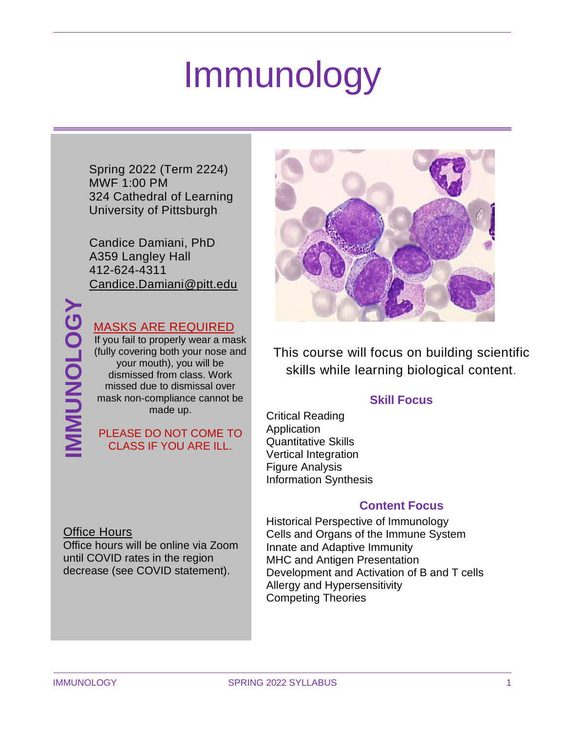# Immunology

Spring 2022 (Term 2224) MWF 1:00 PM 324 Cathedral of Learning University of Pittsburgh

Candice Damiani, PhD A359 Langley Hall 412-624-4311 [Candice.Damiani@pitt.edu](mailto:Candice.Damiani@pitt.edu)

### MASKS ARE REQUIRED

If you fail to properly wear a mask (fully covering both your nose and your mouth), you will be dismissed from class. Work missed due to dismissal over mask non-compliance cannot be made up.

### PLEASE DO NOT COME TO CLASS IF YOU ARE ILL.

### Office Hours

Office hours will be online via Zoom until COVID rates in the region decrease (see COVID statement).



This course will focus on building scientific skills while learning biological content.

### **Skill Focus**

Critical Reading **Application** Quantitative Skills Vertical Integration Figure Analysis Information Synthesis

### **Content Focus**

Historical Perspective of Immunology Cells and Organs of the Immune System Innate and Adaptive Immunity MHC and Antigen Presentation Development and Activation of B and T cells Allergy and Hypersensitivity Competing Theories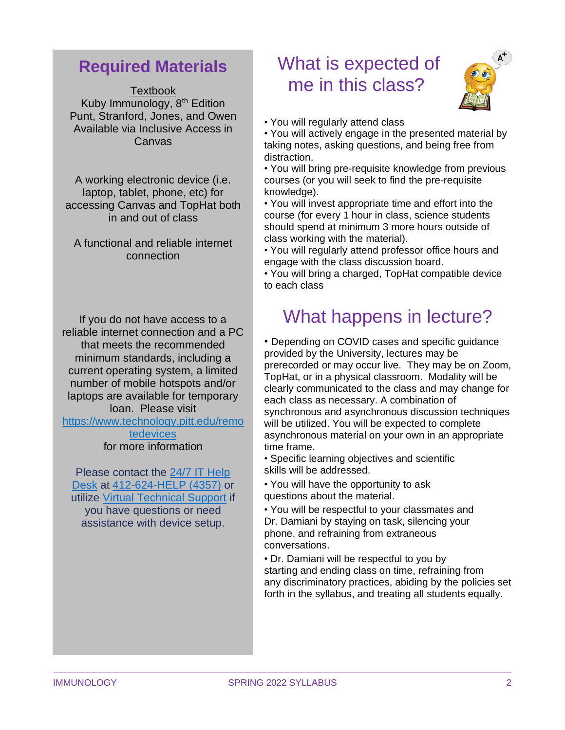### **Required Materials**

Textbook Kuby Immunology, 8<sup>th</sup> Edition Punt, Stranford, Jones, and Owen Available via Inclusive Access in Canvas

A working electronic device (i.e. laptop, tablet, phone, etc) for accessing Canvas and TopHat both in and out of class

A functional and reliable internet connection

If you do not have access to a reliable internet connection and a PC that meets the recommended minimum standards, including a current operating system, a limited number of mobile hotspots and/or laptops are available for temporary loan. Please visit

[https://www.technology.pitt.edu/remo](https://www.technology.pitt.edu/remotedevices) [tedevices](https://www.technology.pitt.edu/remotedevices)

for more information

Please contact the 24/7 IT [Help](https://nam05.safelinks.protection.outlook.com/?url=https%3A%2F%2Funiversitycommunications-marketing.cmail19.com%2Ft%2Fj-l-qkljduy-irlkhtjhlh-u%2F&data=02%7C01%7CCandice.Damiani%40pitt.edu%7C7032032312f4416473ae08d83d79f948%7C9ef9f489e0a04eeb87cc3a526112fd0d%7C1%7C0%7C637326941363119170&sdata=%2BXkwPn%2FBtW%2FcFe7zHij3vo93N7N5eQtbCOhZVkPnsr8%3D&reserved=0) [Desk](https://nam05.safelinks.protection.outlook.com/?url=https%3A%2F%2Funiversitycommunications-marketing.cmail19.com%2Ft%2Fj-l-qkljduy-irlkhtjhlh-u%2F&data=02%7C01%7CCandice.Damiani%40pitt.edu%7C7032032312f4416473ae08d83d79f948%7C9ef9f489e0a04eeb87cc3a526112fd0d%7C1%7C0%7C637326941363119170&sdata=%2BXkwPn%2FBtW%2FcFe7zHij3vo93N7N5eQtbCOhZVkPnsr8%3D&reserved=0) at [412-624-HELP](https://nam05.safelinks.protection.outlook.com/?url=https%3A%2F%2Funiversitycommunications-marketing.cmail19.com%2Ft%2Fj-l-qkljduy-irlkhtjhlh-o%2F&data=02%7C01%7CCandice.Damiani%40pitt.edu%7C7032032312f4416473ae08d83d79f948%7C9ef9f489e0a04eeb87cc3a526112fd0d%7C1%7C0%7C637326941363129125&sdata=HvhVCvZb4nTS9Yd8bwRB9xKby67EZPux7EJ5j7DKkQc%3D&reserved=0) (4357) or utilize Virtual [Technical](https://nam05.safelinks.protection.outlook.com/?url=https%3A%2F%2Funiversitycommunications-marketing.cmail19.com%2Ft%2Fj-l-qkljduy-irlkhtjhlh-b%2F&data=02%7C01%7CCandice.Damiani%40pitt.edu%7C7032032312f4416473ae08d83d79f948%7C9ef9f489e0a04eeb87cc3a526112fd0d%7C1%7C0%7C637326941363129125&sdata=F3NGuRwkxbAw%2FAUBkgL42K067tF8slt7fIjTYdnoZxs%3D&reserved=0) Support if you have questions or need assistance with device setup.

# What is expected of me in this class?



• You will regularly attend class

• You will actively engage in the presented material by taking notes, asking questions, and being free from distraction.

• You will bring pre-requisite knowledge from previous courses (or you will seek to find the pre-requisite knowledge).

• You will invest appropriate time and effort into the course (for every 1 hour in class, science students should spend at minimum 3 more hours outside of class working with the material).

• You will regularly attend professor office hours and engage with the class discussion board.

• You will bring a charged, TopHat compatible device to each class

# What happens in lecture?

• Depending on COVID cases and specific guidance provided by the University, lectures may be prerecorded or may occur live. They may be on Zoom, TopHat, or in a physical classroom. Modality will be clearly communicated to the class and may change for each class as necessary. A combination of synchronous and asynchronous discussion techniques will be utilized. You will be expected to complete asynchronous material on your own in an appropriate time frame.

• Specific learning objectives and scientific skills will be addressed.

• You will have the opportunity to ask questions about the material.

• You will be respectful to your classmates and Dr. Damiani by staying on task, silencing your phone, and refraining from extraneous conversations.

• Dr. Damiani will be respectful to you by starting and ending class on time, refraining from any discriminatory practices, abiding by the policies set forth in the syllabus, and treating all students equally.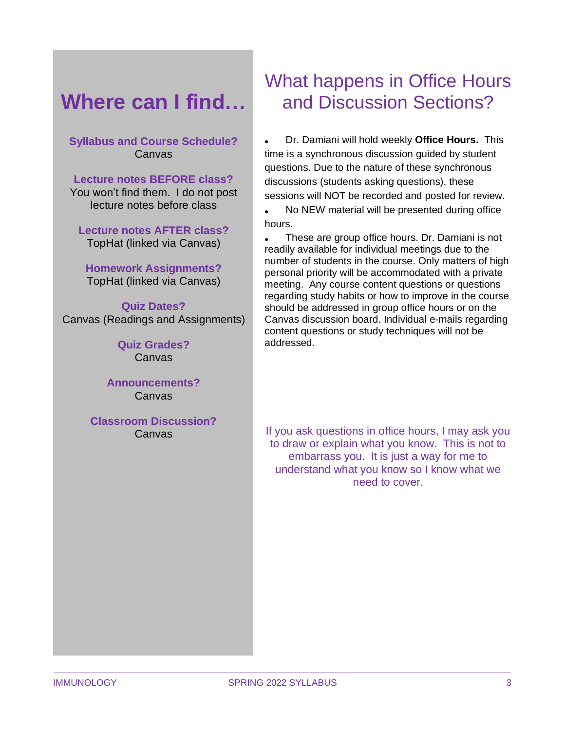# **Where can I find…**

### **Syllabus and Course Schedule?** Canvas

**Lecture notes BEFORE class?** You won't find them. I do not post lecture notes before class

**Lecture notes AFTER class?** TopHat (linked via Canvas)

**Homework Assignments?** TopHat (linked via Canvas)

**Quiz Dates?** Canvas (Readings and Assignments)

> **Quiz Grades?** Canvas

**Announcements?** Canvas

**Classroom Discussion?** Canvas

# What happens in Office Hours and Discussion Sections?

• Dr. Damiani will hold weekly **Office Hours.** This time is a synchronous discussion guided by student questions. Due to the nature of these synchronous discussions (students asking questions), these sessions will NOT be recorded and posted for review.

• No NEW material will be presented during office hours.

• These are group office hours. Dr. Damiani is not readily available for individual meetings due to the number of students in the course. Only matters of high personal priority will be accommodated with a private meeting. Any course content questions or questions regarding study habits or how to improve in the course should be addressed in group office hours or on the Canvas discussion board. Individual e-mails regarding content questions or study techniques will not be addressed.

If you ask questions in office hours, I may ask you to draw or explain what you know. This is not to embarrass you. It is just a way for me to understand what you know so I know what we need to cover.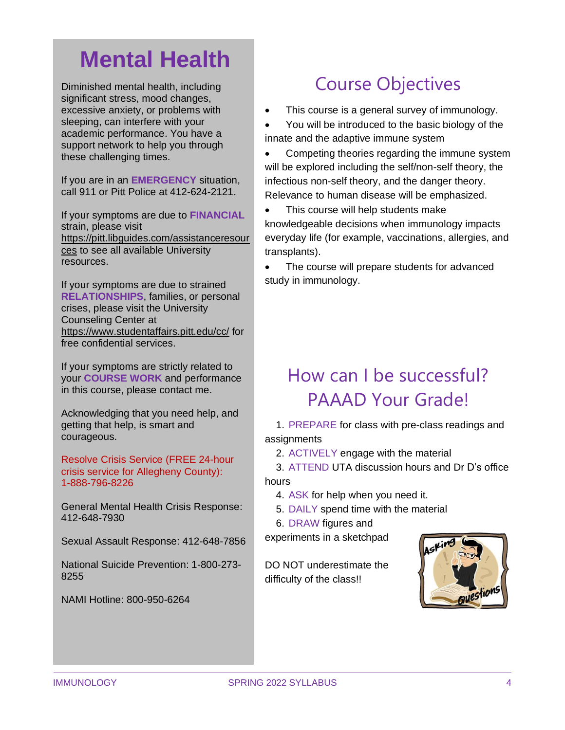# **Mental Health**

Diminished mental health, including significant stress, mood changes, excessive anxiety, or problems with sleeping, can interfere with your academic performance. You have a support network to help you through these challenging times.

If you are in an **EMERGENCY** situation, call 911 or Pitt Police at 412-624-2121.

If your symptoms are due to **FINANCIAL** strain, please visit [https://pitt.libguides.com/assistanceresour](https://pitt.libguides.com/assistanceresources) [ces](https://pitt.libguides.com/assistanceresources) to see all available University resources.

If your symptoms are due to strained **RELATIONSHIPS**, families, or personal crises, please visit the University Counseling Center at <https://www.studentaffairs.pitt.edu/cc/> for free confidential services.

If your symptoms are strictly related to your **COURSE WORK** and performance in this course, please contact me.

Acknowledging that you need help, and getting that help, is smart and courageous.

Resolve Crisis Service (FREE 24-hour crisis service for Allegheny County): 1-888-796-8226

General Mental Health Crisis Response: 412-648-7930

Sexual Assault Response: 412-648-7856

National Suicide Prevention: 1-800-273- 8255

NAMI Hotline: 800-950-6264

# Course Objectives

• This course is a general survey of immunology.

• You will be introduced to the basic biology of the innate and the adaptive immune system

• Competing theories regarding the immune system will be explored including the self/non-self theory, the infectious non-self theory, and the danger theory. Relevance to human disease will be emphasized.

• This course will help students make knowledgeable decisions when immunology impacts everyday life (for example, vaccinations, allergies, and transplants).

• The course will prepare students for advanced study in immunology.

# How can I be successful? PAAAD Your Grade!

1. PREPARE for class with pre-class readings and assignments

2. ACTIVELY engage with the material

3. ATTEND UTA discussion hours and Dr D's office hours

4. ASK for help when you need it.

5. DAILY spend time with the material

6. DRAW figures and

experiments in a sketchpad

DO NOT underestimate the difficulty of the class!!

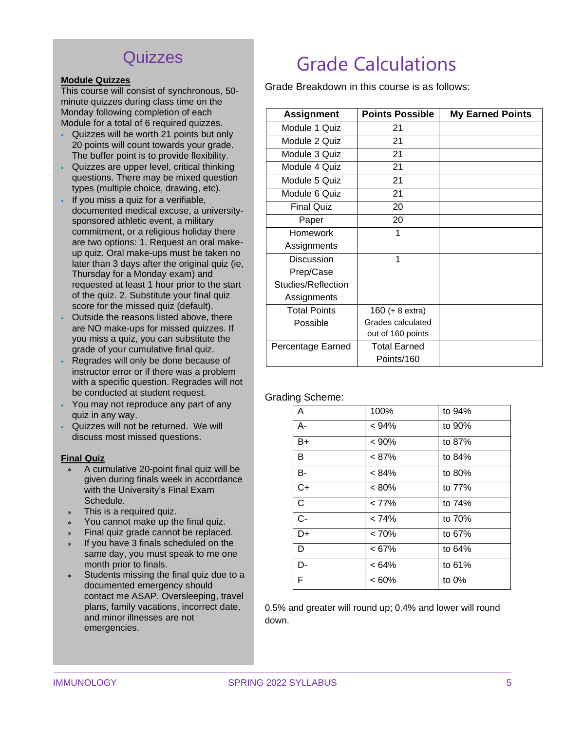### **Quizzes**

#### **Module Quizzes**

This course will consist of synchronous, 50 minute quizzes during class time on the Monday following completion of each Module for a total of 6 required quizzes.

- Quizzes will be worth 21 points but only 20 points will count towards your grade. The buffer point is to provide flexibility.
- Quizzes are upper level, critical thinking questions. There may be mixed question types (multiple choice, drawing, etc).
- If you miss a quiz for a verifiable. documented medical excuse, a universitysponsored athletic event, a military commitment, or a religious holiday there are two options: 1. Request an oral makeup quiz. Oral make-ups must be taken no later than 3 days after the original quiz (ie, Thursday for a Monday exam) and requested at least 1 hour prior to the start of the quiz. 2. Substitute your final quiz score for the missed quiz (default).
- Outside the reasons listed above, there are NO make-ups for missed quizzes. If you miss a quiz, you can substitute the grade of your cumulative final quiz.
- Regrades will only be done because of instructor error or if there was a problem with a specific question. Regrades will not be conducted at student request.
- You may not reproduce any part of any quiz in any way.
- Quizzes will not be returned. We will discuss most missed questions.

#### **Final Quiz**

- A cumulative 20-point final quiz will be given during finals week in accordance with the University's Final Exam Schedule.
- This is a required quiz.
- You cannot make up the final quiz.
- Final quiz grade cannot be replaced.
- If you have 3 finals scheduled on the same day, you must speak to me one month prior to finals.
- Students missing the final quiz due to a documented emergency should contact me ASAP. Oversleeping, travel plans, family vacations, incorrect date, and minor illnesses are not emergencies.

# Grade Calculations

Grade Breakdown in this course is as follows:

| <b>Assignment</b>   | <b>Points Possible</b> | <b>My Earned Points</b> |
|---------------------|------------------------|-------------------------|
| Module 1 Quiz       | 21                     |                         |
| Module 2 Quiz       | 21                     |                         |
| Module 3 Quiz       | 21                     |                         |
| Module 4 Quiz       | 21                     |                         |
| Module 5 Quiz       | 21                     |                         |
| Module 6 Quiz       | 21                     |                         |
| <b>Final Quiz</b>   | 20                     |                         |
| Paper               | 20                     |                         |
| <b>Homework</b>     | 1                      |                         |
| Assignments         |                        |                         |
| Discussion          | 1                      |                         |
| Prep/Case           |                        |                         |
| Studies/Reflection  |                        |                         |
| Assignments         |                        |                         |
| <b>Total Points</b> | 160 (+ 8 extra)        |                         |
| Possible            | Grades calculated      |                         |
|                     | out of 160 points      |                         |
| Percentage Earned   | <b>Total Earned</b>    |                         |
|                     | Points/160             |                         |

#### Grading Scheme:

| A            | 100%     | to 94%   |
|--------------|----------|----------|
| $A -$        | < 94%    | to 90%   |
| B+           | < 90%    | to 87%   |
| В            | < 87%    | to 84%   |
| В-           | < 84%    | to 80%   |
| C+           | $< 80\%$ | to 77%   |
| $\mathsf{C}$ | < 77%    | to 74%   |
| $C -$        | < 74%    | to 70%   |
| D+           | < 70%    | to 67%   |
| D            | <67%     | to 64%   |
| D-           | $< 64\%$ | to 61%   |
| F            | $<60\%$  | to $0\%$ |

0.5% and greater will round up; 0.4% and lower will round down.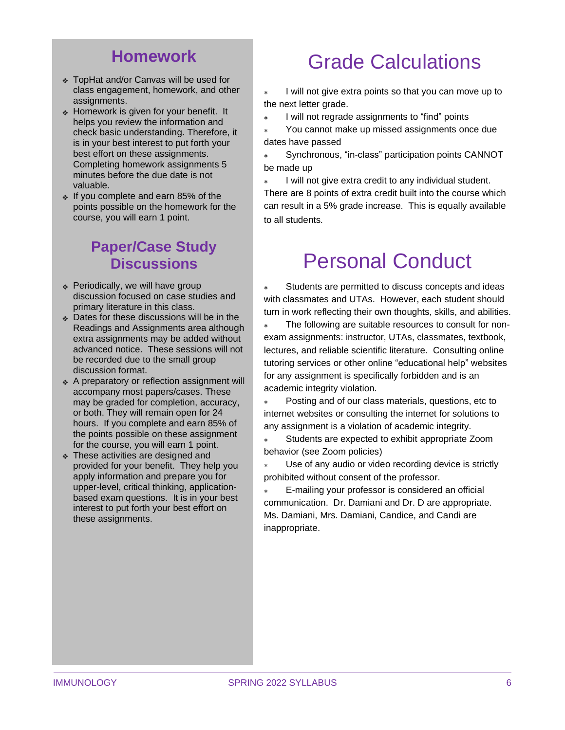### **Homework**

- ❖ TopHat and/or Canvas will be used for class engagement, homework, and other assignments.
- ❖ Homework is given for your benefit. It helps you review the information and check basic understanding. Therefore, it is in your best interest to put forth your best effort on these assignments. Completing homework assignments 5 minutes before the due date is not valuable.
- ❖ If you complete and earn 85% of the points possible on the homework for the course, you will earn 1 point.

### **Paper/Case Study Discussions**

- ❖ Periodically, we will have group discussion focused on case studies and primary literature in this class.
- ❖ Dates for these discussions will be in the Readings and Assignments area although extra assignments may be added without advanced notice. These sessions will not be recorded due to the small group discussion format.
- ❖ A preparatory or reflection assignment will accompany most papers/cases. These may be graded for completion, accuracy, or both. They will remain open for 24 hours. If you complete and earn 85% of the points possible on these assignment for the course, you will earn 1 point.
- ❖ These activities are designed and provided for your benefit. They help you apply information and prepare you for upper-level, critical thinking, applicationbased exam questions. It is in your best interest to put forth your best effort on these assignments.

# Grade Calculations

 I will not give extra points so that you can move up to the next letter grade.

I will not regrade assignments to "find" points

 You cannot make up missed assignments once due dates have passed

 Synchronous, "in-class" participation points CANNOT be made up

 I will not give extra credit to any individual student. There are 8 points of extra credit built into the course which can result in a 5% grade increase. This is equally available to all students.

# Personal Conduct

 Students are permitted to discuss concepts and ideas with classmates and UTAs. However, each student should turn in work reflecting their own thoughts, skills, and abilities.

 The following are suitable resources to consult for nonexam assignments: instructor, UTAs, classmates, textbook, lectures, and reliable scientific literature. Consulting online tutoring services or other online "educational help" websites for any assignment is specifically forbidden and is an academic integrity violation.

 Posting and of our class materials, questions, etc to internet websites or consulting the internet for solutions to any assignment is a violation of academic integrity.

 Students are expected to exhibit appropriate Zoom behavior (see Zoom policies)

 Use of any audio or video recording device is strictly prohibited without consent of the professor.

 E-mailing your professor is considered an official communication. Dr. Damiani and Dr. D are appropriate. Ms. Damiani, Mrs. Damiani, Candice, and Candi are inappropriate.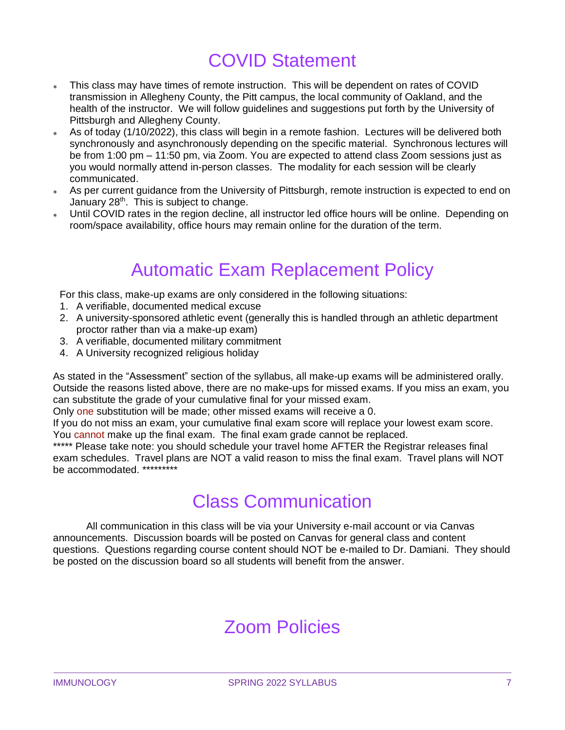# COVID Statement

- This class may have times of remote instruction. This will be dependent on rates of COVID transmission in Allegheny County, the Pitt campus, the local community of Oakland, and the health of the instructor. We will follow guidelines and suggestions put forth by the University of Pittsburgh and Allegheny County.
- As of today (1/10/2022), this class will begin in a remote fashion. Lectures will be delivered both synchronously and asynchronously depending on the specific material. Synchronous lectures will be from 1:00 pm – 11:50 pm, via Zoom. You are expected to attend class Zoom sessions just as you would normally attend in-person classes. The modality for each session will be clearly communicated.
- As per current guidance from the University of Pittsburgh, remote instruction is expected to end on January 28<sup>th</sup>. This is subject to change.
- Until COVID rates in the region decline, all instructor led office hours will be online. Depending on room/space availability, office hours may remain online for the duration of the term.

## Automatic Exam Replacement Policy

For this class, make-up exams are only considered in the following situations:

- 1. A verifiable, documented medical excuse
- 2. A university-sponsored athletic event (generally this is handled through an athletic department proctor rather than via a make-up exam)
- 3. A verifiable, documented military commitment
- 4. A University recognized religious holiday

As stated in the "Assessment" section of the syllabus, all make-up exams will be administered orally. Outside the reasons listed above, there are no make-ups for missed exams. If you miss an exam, you can substitute the grade of your cumulative final for your missed exam.

Only one substitution will be made; other missed exams will receive a 0.

If you do not miss an exam, your cumulative final exam score will replace your lowest exam score. You cannot make up the final exam. The final exam grade cannot be replaced.

\*\*\*\*\* Please take note: you should schedule your travel home AFTER the Registrar releases final exam schedules. Travel plans are NOT a valid reason to miss the final exam. Travel plans will NOT be accommodated. \*\*\*\*\*\*\*\*\*

### Class Communication

All communication in this class will be via your University e-mail account or via Canvas announcements. Discussion boards will be posted on Canvas for general class and content questions. Questions regarding course content should NOT be e-mailed to Dr. Damiani. They should be posted on the discussion board so all students will benefit from the answer.

# Zoom Policies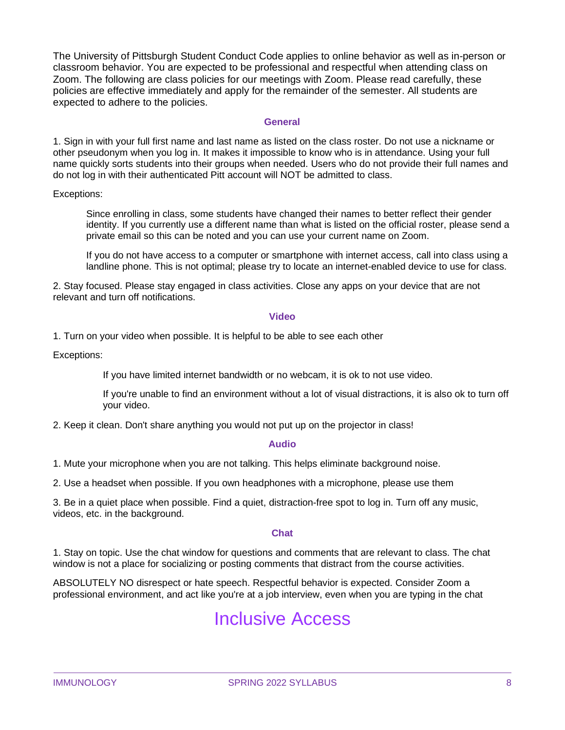The University of Pittsburgh Student Conduct Code applies to online behavior as well as in-person or classroom behavior. You are expected to be professional and respectful when attending class on Zoom. The following are class policies for our meetings with Zoom. Please read carefully, these policies are effective immediately and apply for the remainder of the semester. All students are expected to adhere to the policies.

#### **General**

1. Sign in with your full first name and last name as listed on the class roster. Do not use a nickname or other pseudonym when you log in. It makes it impossible to know who is in attendance. Using your full name quickly sorts students into their groups when needed. Users who do not provide their full names and do not log in with their authenticated Pitt account will NOT be admitted to class.

Exceptions:

Since enrolling in class, some students have changed their names to better reflect their gender identity. If you currently use a different name than what is listed on the official roster, please send a private email so this can be noted and you can use your current name on Zoom.

If you do not have access to a computer or smartphone with internet access, call into class using a landline phone. This is not optimal; please try to locate an internet-enabled device to use for class.

2. Stay focused. Please stay engaged in class activities. Close any apps on your device that are not relevant and turn off notifications.

#### **Video**

1. Turn on your video when possible. It is helpful to be able to see each other

Exceptions:

If you have limited internet bandwidth or no webcam, it is ok to not use video.

If you're unable to find an environment without a lot of visual distractions, it is also ok to turn off your video.

2. Keep it clean. Don't share anything you would not put up on the projector in class!

#### **Audio**

1. Mute your microphone when you are not talking. This helps eliminate background noise.

2. Use a headset when possible. If you own headphones with a microphone, please use them

3. Be in a quiet place when possible. Find a quiet, distraction-free spot to log in. Turn off any music, videos, etc. in the background.

#### **Chat**

1. Stay on topic. Use the chat window for questions and comments that are relevant to class. The chat window is not a place for socializing or posting comments that distract from the course activities.

ABSOLUTELY NO disrespect or hate speech. Respectful behavior is expected. Consider Zoom a professional environment, and act like you're at a job interview, even when you are typing in the chat

### Inclusive Access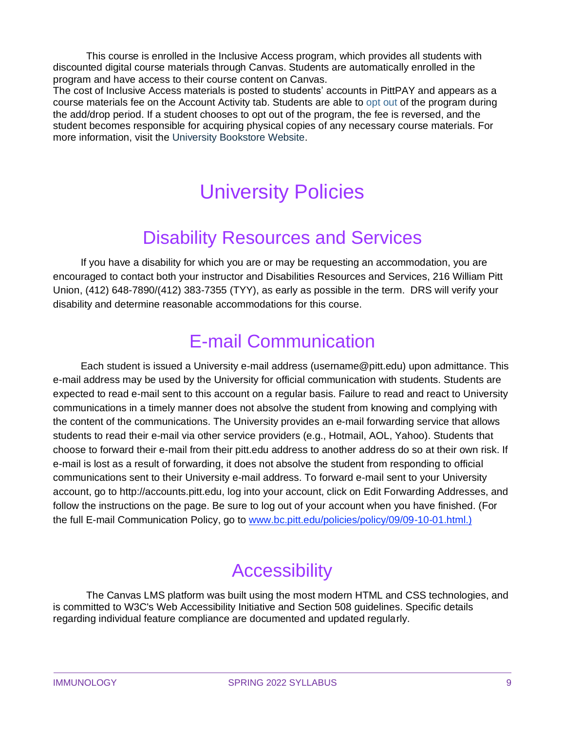This course is enrolled in the Inclusive Access program, which provides all students with discounted digital course materials through Canvas. Students are automatically enrolled in the program and have access to their course content on Canvas.

The cost of Inclusive Access materials is posted to students' accounts in PittPAY and appears as a course materials fee on the Account Activity tab. Students are able to opt out of the program during the add/drop period. If a student chooses to opt out of the program, the fee is reversed, and the student becomes responsible for acquiring physical copies of any necessary course materials. For more information, visit the University Bookstore Website.

# University Policies

# Disability Resources and Services

If you have a disability for which you are or may be requesting an accommodation, you are encouraged to contact both your instructor and Disabilities Resources and Services, 216 William Pitt Union, (412) 648-7890/(412) 383-7355 (TYY), as early as possible in the term. DRS will verify your disability and determine reasonable accommodations for this course.

# E-mail Communication

Each student is issued a University e-mail address (username@pitt.edu) upon admittance. This e-mail address may be used by the University for official communication with students. Students are expected to read e-mail sent to this account on a regular basis. Failure to read and react to University communications in a timely manner does not absolve the student from knowing and complying with the content of the communications. The University provides an e-mail forwarding service that allows students to read their e-mail via other service providers (e.g., Hotmail, AOL, Yahoo). Students that choose to forward their e-mail from their pitt.edu address to another address do so at their own risk. If e-mail is lost as a result of forwarding, it does not absolve the student from responding to official communications sent to their University e-mail address. To forward e-mail sent to your University account, go to http://accounts.pitt.edu, log into your account, click on Edit Forwarding Addresses, and follow the instructions on the page. Be sure to log out of your account when you have finished. (For the full E-mail Communication Policy, go to [www.bc.pitt.edu/policies/policy/09/09-10-01.html.\)](http://www.bc.pitt.edu/policies/policy/09/09-10-01.html.))

# **Accessibility**

The Canvas LMS platform was built using the most modern HTML and CSS technologies, and is committed to W3C's Web Accessibility Initiative and Section 508 guidelines. Specific details regarding individual feature compliance are documented and updated regularly.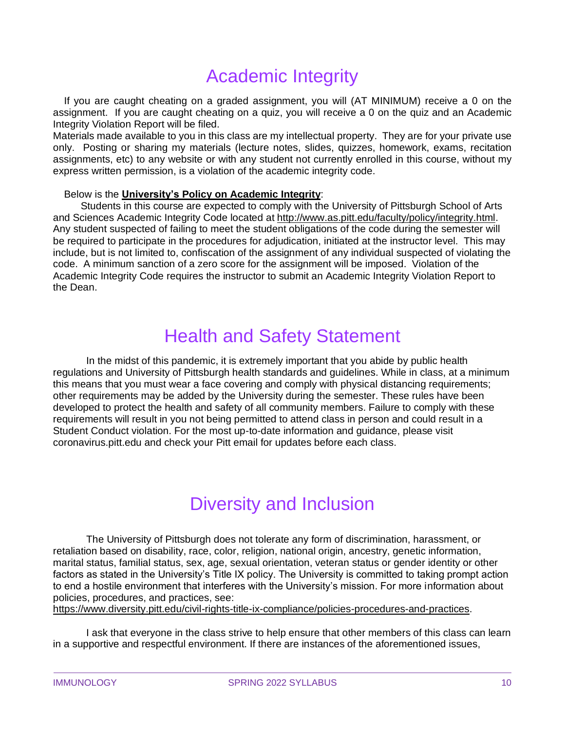# Academic Integrity

If you are caught cheating on a graded assignment, you will (AT MINIMUM) receive a 0 on the assignment. If you are caught cheating on a quiz, you will receive a 0 on the quiz and an Academic Integrity Violation Report will be filed.

Materials made available to you in this class are my intellectual property. They are for your private use only. Posting or sharing my materials (lecture notes, slides, quizzes, homework, exams, recitation assignments, etc) to any website or with any student not currently enrolled in this course, without my express written permission, is a violation of the academic integrity code.

### Below is the **University's Policy on Academic Integrity**:

Students in this course are expected to comply with the University of Pittsburgh School of Arts and Sciences Academic Integrity Code located at [http://www.as.pitt.edu/faculty/policy/integrity.html.](http://www.as.pitt.edu/faculty/policy/integrity.html) Any student suspected of failing to meet the student obligations of the code during the semester will be required to participate in the procedures for adjudication, initiated at the instructor level. This may include, but is not limited to, confiscation of the assignment of any individual suspected of violating the code. A minimum sanction of a zero score for the assignment will be imposed. Violation of the Academic Integrity Code requires the instructor to submit an Academic Integrity Violation Report to the Dean.

# Health and Safety Statement

In the midst of this pandemic, it is extremely important that you abide by public health regulations and University of Pittsburgh health standards and guidelines. While in class, at a minimum this means that you must wear a face covering and comply with physical distancing requirements; other requirements may be added by the University during the semester. These rules have been developed to protect the health and safety of all community members. Failure to comply with these requirements will result in you not being permitted to attend class in person and could result in a Student Conduct violation. For the most up-to-date information and guidance, please visit coronavirus.pitt.edu and check your Pitt email for updates before each class.

# Diversity and Inclusion

The University of Pittsburgh does not tolerate any form of discrimination, harassment, or retaliation based on disability, race, color, religion, national origin, ancestry, genetic information, marital status, familial status, sex, age, sexual orientation, veteran status or gender identity or other factors as stated in the University's Title IX policy. The University is committed to taking prompt action to end a hostile environment that interferes with the University's mission. For more information about policies, procedures, and practices, see:

[https://www.diversity.pitt.edu/civil-rights-title-ix-compliance/policies-procedures-and-practices.](https://www.diversity.pitt.edu/civil-rights-title-ix-compliance/policies-procedures-and-practices)

I ask that everyone in the class strive to help ensure that other members of this class can learn in a supportive and respectful environment. If there are instances of the aforementioned issues,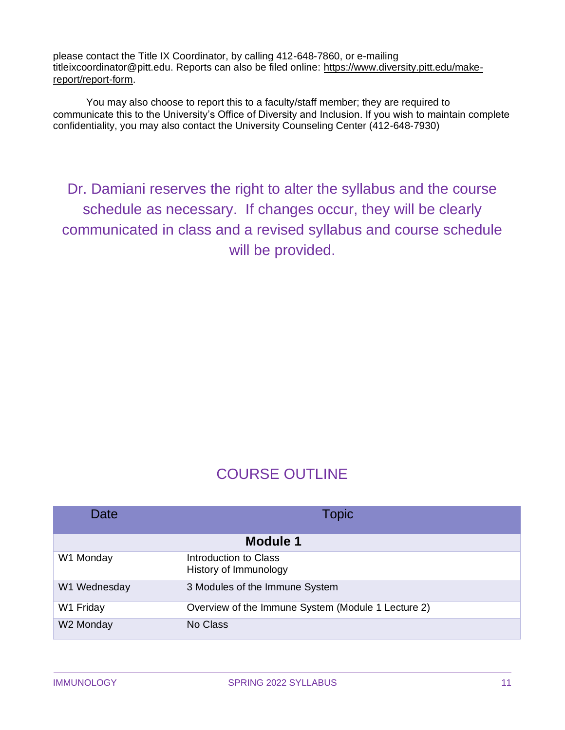please contact the Title IX Coordinator, by calling 412-648-7860, or e-mailing titleixcoordinator@pitt.edu. Reports can also be filed online: [https://www.diversity.pitt.edu/make](https://www.diversity.pitt.edu/make-report/report-form)[report/report-form.](https://www.diversity.pitt.edu/make-report/report-form)

You may also choose to report this to a faculty/staff member; they are required to communicate this to the University's Office of Diversity and Inclusion. If you wish to maintain complete confidentiality, you may also contact the University Counseling Center (412-648-7930)

Dr. Damiani reserves the right to alter the syllabus and the course schedule as necessary. If changes occur, they will be clearly communicated in class and a revised syllabus and course schedule will be provided.

### COURSE OUTLINE

| Date            | Topic                                              |  |  |
|-----------------|----------------------------------------------------|--|--|
| <b>Module 1</b> |                                                    |  |  |
| W1 Monday       | Introduction to Class<br>History of Immunology     |  |  |
| W1 Wednesday    | 3 Modules of the Immune System                     |  |  |
| W1 Friday       | Overview of the Immune System (Module 1 Lecture 2) |  |  |
| W2 Monday       | No Class                                           |  |  |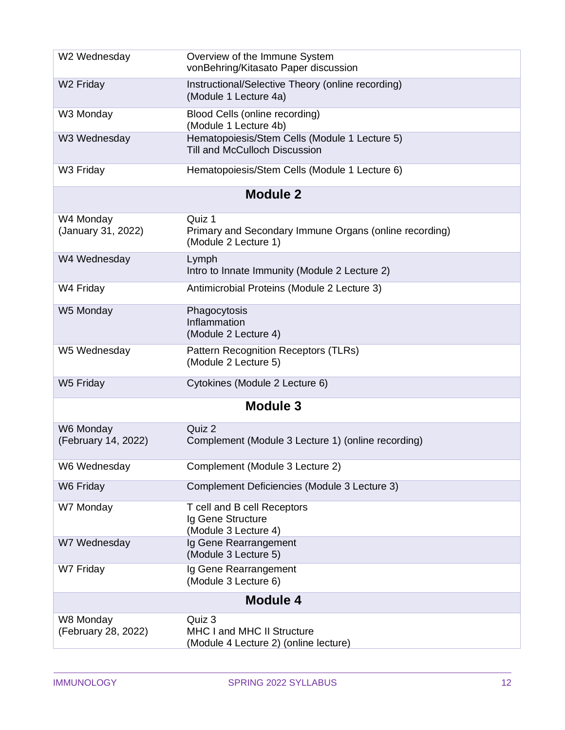| W2 Wednesday                     | Overview of the Immune System<br>vonBehring/Kitasato Paper discussion                    |  |  |  |
|----------------------------------|------------------------------------------------------------------------------------------|--|--|--|
| W <sub>2</sub> Friday            | Instructional/Selective Theory (online recording)<br>(Module 1 Lecture 4a)               |  |  |  |
| W3 Monday                        | Blood Cells (online recording)<br>(Module 1 Lecture 4b)                                  |  |  |  |
| W3 Wednesday                     | Hematopoiesis/Stem Cells (Module 1 Lecture 5)<br><b>Till and McCulloch Discussion</b>    |  |  |  |
| W3 Friday                        | Hematopoiesis/Stem Cells (Module 1 Lecture 6)                                            |  |  |  |
|                                  | <b>Module 2</b>                                                                          |  |  |  |
| W4 Monday<br>(January 31, 2022)  | Quiz 1<br>Primary and Secondary Immune Organs (online recording)<br>(Module 2 Lecture 1) |  |  |  |
| W4 Wednesday                     | Lymph<br>Intro to Innate Immunity (Module 2 Lecture 2)                                   |  |  |  |
| W4 Friday                        | Antimicrobial Proteins (Module 2 Lecture 3)                                              |  |  |  |
| W5 Monday                        | Phagocytosis<br>Inflammation<br>(Module 2 Lecture 4)                                     |  |  |  |
| W5 Wednesday                     | Pattern Recognition Receptors (TLRs)<br>(Module 2 Lecture 5)                             |  |  |  |
| W5 Friday                        | Cytokines (Module 2 Lecture 6)                                                           |  |  |  |
| <b>Module 3</b>                  |                                                                                          |  |  |  |
| W6 Monday<br>(February 14, 2022) | Quiz 2<br>Complement (Module 3 Lecture 1) (online recording)                             |  |  |  |
| W6 Wednesday                     | Complement (Module 3 Lecture 2)                                                          |  |  |  |
| W6 Friday                        | Complement Deficiencies (Module 3 Lecture 3)                                             |  |  |  |
| W7 Monday                        | T cell and B cell Receptors<br>Ig Gene Structure<br>(Module 3 Lecture 4)                 |  |  |  |
| W7 Wednesday                     | Ig Gene Rearrangement<br>(Module 3 Lecture 5)                                            |  |  |  |
| W7 Friday                        | Ig Gene Rearrangement<br>(Module 3 Lecture 6)                                            |  |  |  |
| <b>Module 4</b>                  |                                                                                          |  |  |  |
| W8 Monday<br>(February 28, 2022) | Quiz 3<br><b>MHC I and MHC II Structure</b><br>(Module 4 Lecture 2) (online lecture)     |  |  |  |